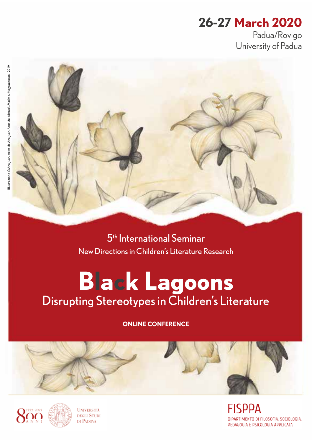# **26-27 March 2020**

Padua/Rovigo University of Padua



5th International Seminar New Directions in Children's Literature Research

# **Black Lagoons** Disrupting Stereotypes in Children's Literature

**ONLINE CONFERENCE** 



**NIVERSITÀ DEGLI STUDI** DI PADOVA

**FISPPA** DIPARTIMENTO DI FILOSOFIA, SOCIOLOGIA, PEDAGOGIA E PSICOLOGIA APPLICATA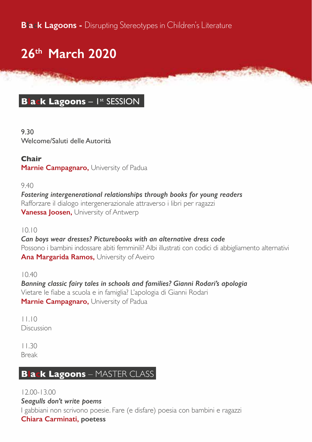**Black Lagoons -** Disrupting Stereotypes in Children's Literature

# **26th March 2020**

### **Black Lagoons - Ist SESSION**

9.30 Welcome/Saluti delle Autorità

**Chair Marnie Campagnaro,** University of Padua

9.40

*Fostering intergenerational relationships through books for young readers* Rafforzare il dialogo intergenerazionale attraverso i libri per ragazzi **Vanessa Joosen,** University of Antwerp

10.10

*Can boys wear dresses? Picturebooks with an alternative dress code* Possono i bambini indossare abiti femminili? Albi illustrati con codici di abbigliamento alternativi **Ana Margarida Ramos,** University of Aveiro

 $10.40$ 

*Banning classic fairy tales in schools and families? Gianni Rodari's apologia* Vietare le fiabe a scuola e in famiglia? L'apologia di Gianni Rodari **Marnie Campagnaro,** University of Padua

11.10 Discussion

11.30 Break

### **Black Lagoons** – MASTER CLASS

12.00-13.00 *Seagulls don't write poems* I gabbiani non scrivono poesie. Fare (e disfare) poesia con bambini e ragazzi **Chiara Carminati, poetess**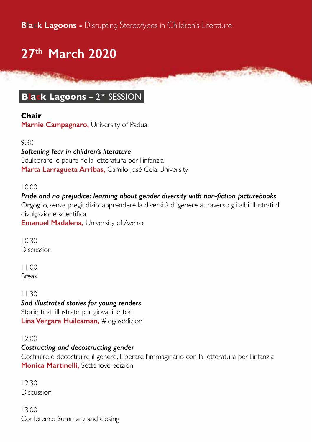# **27th March 2020**

### **Black Lagoons** – 2nd SESSION

#### **Chair**

**Marnie Campagnaro,** University of Padua

#### 9.30

#### *Softening fear in children's literature*

Edulcorare le paure nella letteratura per l'infanzia Marta Larragueta Arribas, Camilo José Cela University

#### 10.00

#### *Pride and no prejudice: learning about gender diversity with non-fiction picturebooks*

Orgoglio, senza pregiudizio: apprendere la diversità di genere attraverso gli albi illustrati di divulgazione scientifica

**Emanuel Madalena, University of Aveiro** 

10.30 **Discussion** 

11.00 Break

11.30

#### *Sad illustrated stories for young readers*

Storie tristi illustrate per giovani lettori **Lina Vergara Huilcaman,** #logosedizioni

#### 12.00

#### *Costructing and decostructing gender*

Costruire e decostruire il genere. Liberare l'immaginario con la letteratura per l'infanzia **Monica Martinelli,** Settenove edizioni

12.30 Discussion

13.00 Conference Summary and closing